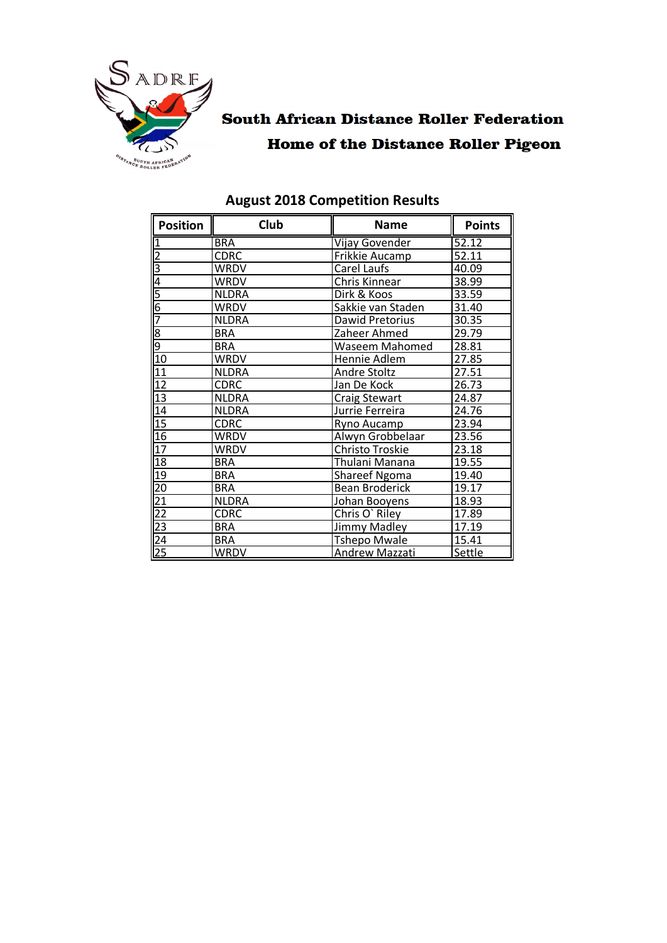

# **South African Distance Roller Federation Home of the Distance Roller Pigeon**

| <b>Position</b>                                                 | Club         | <b>Name</b>                            | <b>Points</b> |
|-----------------------------------------------------------------|--------------|----------------------------------------|---------------|
| 1                                                               | <b>BRA</b>   | Vijay Govender                         | 52.12         |
|                                                                 | <b>CDRC</b>  | Frikkie Aucamp                         | 52.11         |
| <u>NM</u>                                                       | WRDV         | Carel Laufs                            | 40.09         |
|                                                                 | WRDV         | Chris Kinnear                          | 38.99         |
| $\frac{5}{6}$                                                   | <b>NLDRA</b> | Dirk & Koos                            | 33.59         |
|                                                                 | WRDV         | Sakkie van Staden                      | 31.40         |
|                                                                 | <b>NLDRA</b> | Dawid Pretorius                        | 30.35         |
|                                                                 | <b>BRA</b>   | Zaheer Ahmed                           | 29.79         |
| <u>ရဲတ</u>                                                      | <b>BRA</b>   | Waseem Mahomed                         | 28.81         |
| 10                                                              | WRDV         | Hennie Adlem                           | 27.85         |
| $\overline{11}$                                                 | <b>NLDRA</b> | Andre Stoltz                           | 27.51         |
| $\overline{12}$                                                 | <b>CDRC</b>  | Jan De Kock                            | 26.73         |
| $\overline{13}$                                                 | <b>NLDRA</b> | <b>Craig Stewart</b>                   | 24.87         |
| $\overline{14}$                                                 | <b>NLDRA</b> | Jurrie Ferreira                        | 24.76         |
| 15                                                              | <b>CDRC</b>  | Ryno Aucamp                            | 23.94         |
| 16                                                              | WRDV         | Alwyn Grobbelaar                       | 23.56         |
| 17                                                              | WRDV         | Christo Troskie                        | 23.18         |
| 18                                                              | <b>BRA</b>   | Thulani Manana                         | 19.55         |
| 19                                                              | <b>BRA</b>   | <b>Shareef Ngoma</b>                   | 19.40         |
|                                                                 | <b>BRA</b>   | <b>Bean Broderick</b>                  | 19.17         |
|                                                                 | <b>NLDRA</b> | Johan Booyens                          | 18.93         |
|                                                                 | CDRC         | Chris O`Riley                          | 17.89         |
| $\frac{20}{21}$ $\frac{22}{23}$ $\frac{23}{25}$ $\frac{24}{25}$ | <b>BRA</b>   | 17.19<br><b>Jimmy Madley</b>           |               |
|                                                                 | BRA          | 15.41<br><b>Tshepo Mwale</b>           |               |
|                                                                 | WRDV         | <b>Settle</b><br><b>Andrew Mazzati</b> |               |

### **August 2018 Competition Results**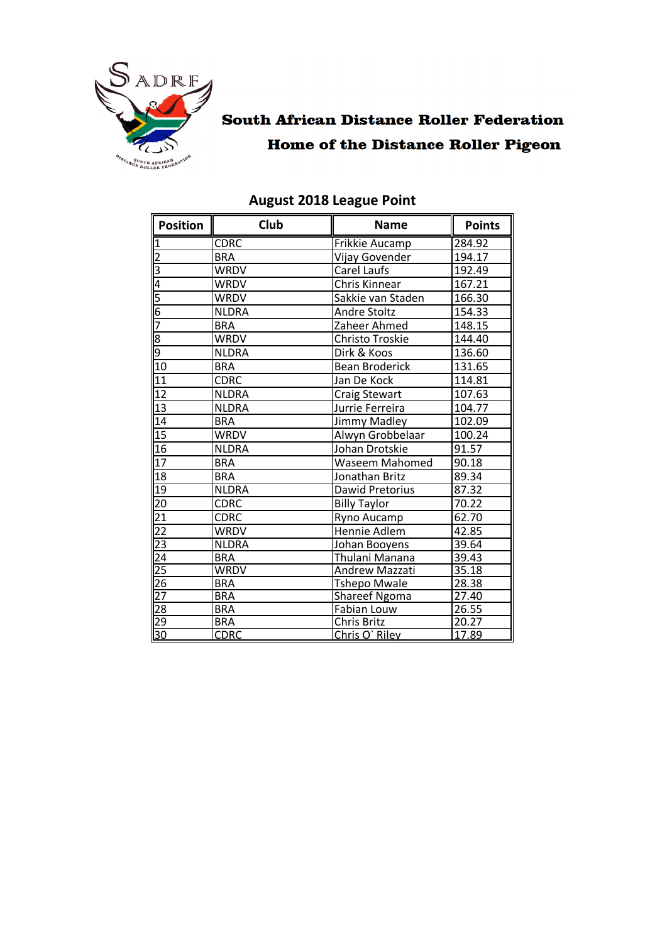

### **South African Distance Roller Federation Home of the Distance Roller Pigeon**

| Position                                                | Club         | <b>Name</b>             | <b>Points</b> |
|---------------------------------------------------------|--------------|-------------------------|---------------|
| $\overline{\mathbf{1}}$                                 | <b>CDRC</b>  | Frikkie Aucamp          | 284.92        |
|                                                         | <b>BRA</b>   | Vijay Govender          | 194.17        |
|                                                         | <b>WRDV</b>  | Carel Laufs             | 192.49        |
| $\frac{2}{3}$ $\frac{3}{4}$ $\frac{6}{5}$ $\frac{6}{7}$ | <b>WRDV</b>  | Chris Kinnear           | 167.21        |
|                                                         | <b>WRDV</b>  | Sakkie van Staden       | 166.30        |
|                                                         | <b>NLDRA</b> | <b>Andre Stoltz</b>     | 154.33        |
|                                                         | <b>BRA</b>   | Zaheer Ahmed            | 148.15        |
|                                                         | <b>WRDV</b>  | Christo Troskie         | 144.40        |
| $\frac{8}{9}$                                           | <b>NLDRA</b> | Dirk & Koos             | 136.60        |
| 10                                                      | <b>BRA</b>   | <b>Bean Broderick</b>   | 131.65        |
| $\overline{11}$                                         | <b>CDRC</b>  | Jan De Kock             | 114.81        |
| 12                                                      | <b>NLDRA</b> | <b>Craig Stewart</b>    | 107.63        |
| $\overline{13}$                                         | <b>NLDRA</b> | Jurrie Ferreira         | 104.77        |
| $\overline{14}$                                         | <b>BRA</b>   | Jimmy Madley            | 102.09        |
| $\overline{15}$                                         | <b>WRDV</b>  | Alwyn Grobbelaar        | 100.24        |
| $\overline{16}$                                         | <b>NLDRA</b> | Johan Drotskie          | 91.57         |
| $\overline{17}$                                         | <b>BRA</b>   | Waseem Mahomed          | 90.18         |
| 18                                                      | <b>BRA</b>   | Jonathan Britz          | 89.34         |
| $\overline{19}$                                         | <b>NLDRA</b> | Dawid Pretorius         | 87.32         |
| $\overline{5}$                                          | <b>CDRC</b>  | <b>Billy Taylor</b>     | 70.22         |
|                                                         | <b>CDRC</b>  | Ryno Aucamp             | 62.70         |
|                                                         | <b>WRDV</b>  | Hennie Adlem            | 42.85         |
|                                                         | <b>NLDRA</b> | Johan Booyens           | 39.64         |
|                                                         | <b>BRA</b>   | Thulani Manana          | 39.43         |
|                                                         | <b>WRDV</b>  | Andrew Mazzati          | 35.18         |
|                                                         | <b>BRA</b>   | <b>Tshepo Mwale</b>     | 28.38         |
|                                                         | <b>BRA</b>   | <b>Shareef Ngoma</b>    | 27.40         |
|                                                         | <b>BRA</b>   | 26.55<br>Fabian Louw    |               |
|                                                         | <b>BRA</b>   | 20.27<br>Chris Britz    |               |
|                                                         | <b>CDRC</b>  | 17.89<br>Chris O' Riley |               |

#### **August 2018 League Point**